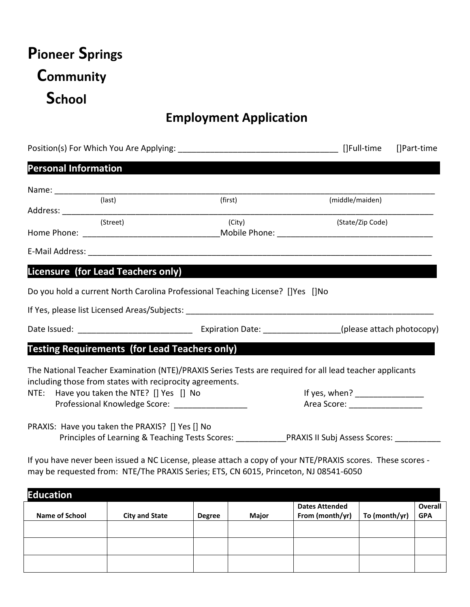# **Pioneer Springs Community School**

## **Employment Application**

|                             |                                                 |                                                                                |                                                                                                         | []Part-time |
|-----------------------------|-------------------------------------------------|--------------------------------------------------------------------------------|---------------------------------------------------------------------------------------------------------|-------------|
| <b>Personal Information</b> |                                                 |                                                                                |                                                                                                         |             |
|                             |                                                 |                                                                                |                                                                                                         |             |
|                             | (last)                                          | (first)                                                                        | (middle/maiden)                                                                                         |             |
|                             | (Street)                                        | (City)                                                                         | (State/Zip Code)                                                                                        |             |
|                             |                                                 |                                                                                |                                                                                                         |             |
|                             | Licensure (for Lead Teachers only)              |                                                                                |                                                                                                         |             |
|                             |                                                 | Do you hold a current North Carolina Professional Teaching License? []Yes []No |                                                                                                         |             |
|                             |                                                 |                                                                                |                                                                                                         |             |
|                             |                                                 | <b>Testing Requirements (for Lead Teachers only)</b>                           |                                                                                                         |             |
|                             |                                                 | including those from states with reciprocity agreements.                       | The National Teacher Examination (NTE)/PRAXIS Series Tests are required for all lead teacher applicants |             |
|                             | NTE: Have you taken the NTE? [] Yes [] No       |                                                                                |                                                                                                         |             |
|                             |                                                 | Professional Knowledge Score: ________________                                 | Area Score: _____________________                                                                       |             |
|                             | PRAXIS: Have you taken the PRAXIS? [] Yes [] No |                                                                                |                                                                                                         |             |
|                             |                                                 |                                                                                | Principles of Learning & Teaching Tests Scores: PRAXIS II Subj Assess Scores:                           |             |

If you have never been issued a NC License, please attach a copy of your NTE/PRAXIS scores. These scores may be requested from: NTE/The PRAXIS Series; ETS, CN 6015, Princeton, NJ 08541-6050

| <b>Education</b>      |                       |               |       |                                          |               |                       |
|-----------------------|-----------------------|---------------|-------|------------------------------------------|---------------|-----------------------|
| <b>Name of School</b> | <b>City and State</b> | <b>Degree</b> | Major | <b>Dates Attended</b><br>From (month/yr) | To (month/yr) | Overall<br><b>GPA</b> |
|                       |                       |               |       |                                          |               |                       |
|                       |                       |               |       |                                          |               |                       |
|                       |                       |               |       |                                          |               |                       |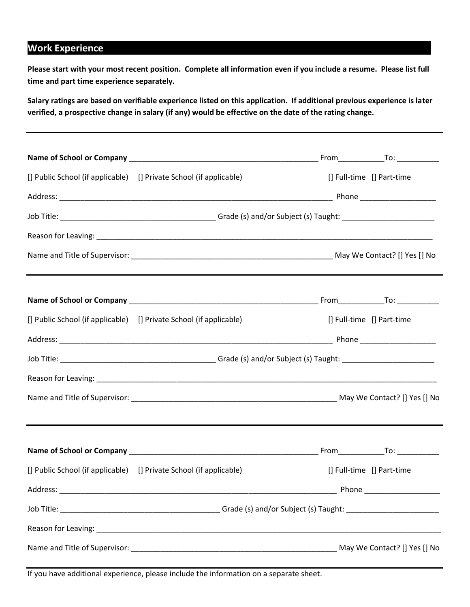#### **Work Experience**

**Please start with your most recent position. Complete all information even if you include a resume. Please list full time and part time experience separately.**

**Salary ratings are based on verifiable experience listed on this application. If additional previous experience is later verified, a prospective change in salary (if any) would be effective on the date of the rating change.**

|          | [] Public School (if applicable) [] Private School (if applicable) | [] Full-time [] Part-time |  |
|----------|--------------------------------------------------------------------|---------------------------|--|
|          |                                                                    |                           |  |
|          |                                                                    |                           |  |
|          |                                                                    |                           |  |
|          |                                                                    |                           |  |
|          |                                                                    |                           |  |
|          | [] Public School (if applicable) [] Private School (if applicable) | [] Full-time [] Part-time |  |
|          |                                                                    |                           |  |
|          |                                                                    |                           |  |
|          |                                                                    |                           |  |
|          |                                                                    |                           |  |
|          |                                                                    |                           |  |
|          | [] Public School (if applicable) [] Private School (if applicable) | [] Full-time [] Part-time |  |
| Address: |                                                                    | Phone                     |  |
|          |                                                                    |                           |  |
|          |                                                                    |                           |  |
|          |                                                                    |                           |  |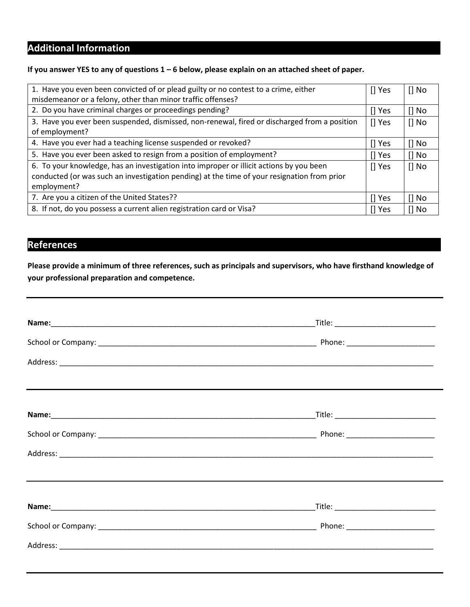## **Additional Information**

#### **If you answer YES to any of questions 1 – 6 below, please explain on an attached sheet of paper.**

| 1. Have you even been convicted of or plead guilty or no contest to a crime, either          | II Yes      | $\prod$ No |
|----------------------------------------------------------------------------------------------|-------------|------------|
| misdemeanor or a felony, other than minor traffic offenses?                                  |             |            |
| 2. Do you have criminal charges or proceedings pending?                                      | $\prod$ Yes | $\prod$ No |
| 3. Have you ever been suspended, dismissed, non-renewal, fired or discharged from a position | $[]$ Yes    | $\prod$ No |
| of employment?                                                                               |             |            |
| 4. Have you ever had a teaching license suspended or revoked?                                | $\prod$ Yes | $\prod$ No |
| 5. Have you ever been asked to resign from a position of employment?                         | $\prod$ Yes | $\prod$ No |
| 6. To your knowledge, has an investigation into improper or illicit actions by you been      | [] Yes      | $\prod$ No |
| conducted (or was such an investigation pending) at the time of your resignation from prior  |             |            |
| employment?                                                                                  |             |            |
| 7. Are you a citizen of the United States??                                                  | $\prod$ Yes | $\prod$ No |
| 8. If not, do you possess a current alien registration card or Visa?                         |             | [] No      |

#### **References**

**Please provide a minimum of three references, such as principals and supervisors, who have firsthand knowledge of your professional preparation and competence.**

| _Title: __________________________________  |
|---------------------------------------------|
|                                             |
|                                             |
|                                             |
| _Title: ___________________________________ |
|                                             |
|                                             |
|                                             |
|                                             |
|                                             |
|                                             |
|                                             |